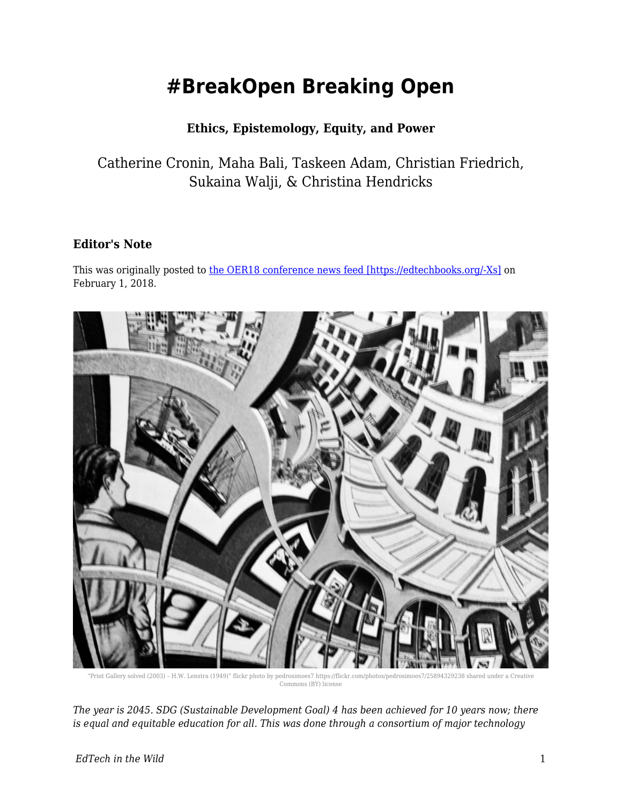# **#BreakOpen Breaking Open**

### **Ethics, Epistemology, Equity, and Power**

Catherine Cronin, Maha Bali, Taskeen Adam, Christian Friedrich, Sukaina Walji, & Christina Hendricks

#### **Editor's Note**

This was originally posted to [the OER18 conference news feed \[https://edtechbooks.org/-Xs\]](https://oer18.oerconf.org/news/breakopen-breaking-open-ethics-epistemology-equity-and-power-guest-post/) on February 1, 2018.



"Print Gallery solved (2003) – H.W. Lenstra (1949)" flickr photo by pedrosimoes7 https://flickr.com/photos/pedrosimoes7/25894329238 shared under a Creative Commons (BY) license

*The year is 2045. SDG (Sustainable Development Goal) 4 has been achieved for 10 years now; there is equal and equitable education for all. This was done through a consortium of major technology*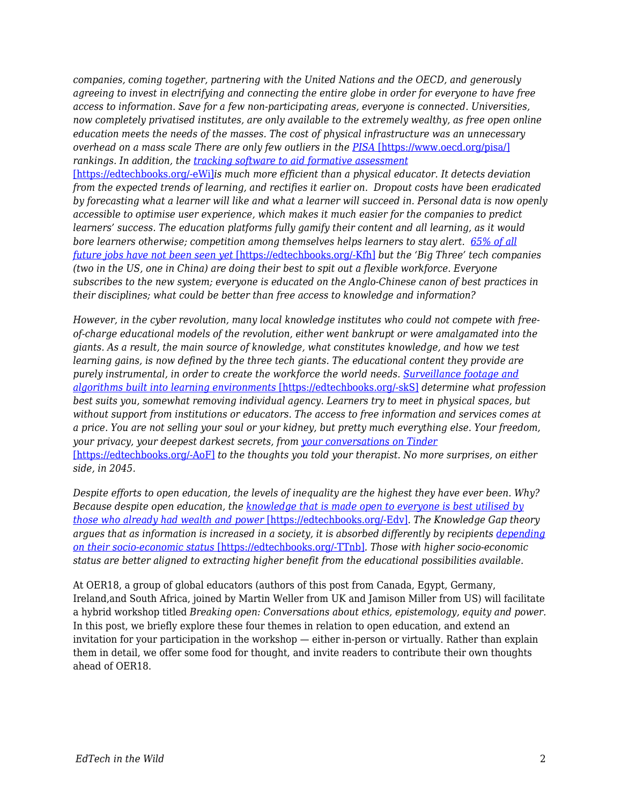*companies, coming together, partnering with the United Nations and the OECD, and generously agreeing to invest in electrifying and connecting the entire globe in order for everyone to have free access to information. Save for a few non-participating areas, everyone is connected. Universities, now completely privatised institutes, are only available to the extremely wealthy, as free open online education meets the needs of the masses. The cost of physical infrastructure was an unnecessary overhead on a mass scale There are only few outliers in the [PISA](https://www.oecd.org/pisa/)* [\[https://www.oecd.org/pisa/\]](https://www.oecd.org/pisa/) *rankings. In addition, the [tracking software to aid formative assessment](https://www.u-planner.com/en/university-student-dropout-detection-software)*

[\[https://edtechbooks.org/-eWi\]](https://www.u-planner.com/en/university-student-dropout-detection-software)*is much more efficient than a physical educator. It detects deviation from the expected trends of learning, and rectifies it earlier on. Dropout costs have been eradicated by forecasting what a learner will like and what a learner will succeed in. Personal data is now openly accessible to optimise user experience, which makes it much easier for the companies to predict learners' success. The education platforms fully gamify their content and all learning, as it would bore learners otherwise; competition among themselves helps learners to stay alert. [65% of all](http://www.longviewoneducation.org/field-guide-jobs-dont-exist-yet/) [future jobs have not been seen yet](http://www.longviewoneducation.org/field-guide-jobs-dont-exist-yet/)* [\[https://edtechbooks.org/-Kfh\]](http://www.longviewoneducation.org/field-guide-jobs-dont-exist-yet/) *but the 'Big Three' tech companies (two in the US, one in China) are doing their best to spit out a flexible workforce. Everyone subscribes to the new system; everyone is educated on the Anglo-Chinese canon of best practices in their disciplines; what could be better than free access to knowledge and information?*

*However, in the cyber revolution, many local knowledge institutes who could not compete with freeof-charge educational models of the revolution, either went bankrupt or were amalgamated into the giants. As a result, the main source of knowledge, what constitutes knowledge, and how we test learning gains, is now defined by the three tech giants. The educational content they provide are purely instrumental, in order to create the workforce the world needs. [Surveillance footage and](https://www.newyorker.com/magazine/2016/03/07/altschools-disrupted-education) [algorithms built into learning environments](https://www.newyorker.com/magazine/2016/03/07/altschools-disrupted-education)* [\[https://edtechbooks.org/-skS\]](https://www.newyorker.com/magazine/2016/03/07/altschools-disrupted-education) *determine what profession best suits you, somewhat removing individual agency. Learners try to meet in physical spaces, but without support from institutions or educators. The access to free information and services comes at a price. You are not selling your soul or your kidney, but pretty much everything else. Your freedom, your privacy, your deepest darkest secrets, from [your conversations on Tinder](https://www.theguardian.com/technology/2017/sep/26/tinder-personal-data-dating-app-messages-hacked-sold)* [\[https://edtechbooks.org/-AoF\]](https://www.theguardian.com/technology/2017/sep/26/tinder-personal-data-dating-app-messages-hacked-sold) *to the thoughts you told your therapist. No more surprises, on either side, in 2045.*

*Despite efforts to open education, the levels of inequality are the highest they have ever been. Why? Because despite open education, the [knowledge that is made open to everyone is best utilised by](https://clalliance.org/publications/good-intentions-real-outcomes-equity-design-learning-technologies/) [those who already had wealth and power](https://clalliance.org/publications/good-intentions-real-outcomes-equity-design-learning-technologies/)* [\[https://edtechbooks.org/-Edv\]](https://clalliance.org/publications/good-intentions-real-outcomes-equity-design-learning-technologies/)*. The Knowledge Gap theory argues that as information is increased in a society, it is absorbed differently by recipients [depending](http://journals.sagepub.com/doi/abs/10.1177/009365027500200101) [on their socio-economic status](http://journals.sagepub.com/doi/abs/10.1177/009365027500200101)* [\[https://edtechbooks.org/-TTnb\]](http://journals.sagepub.com/doi/abs/10.1177/009365027500200101)*. Those with higher socio-economic status are better aligned to extracting higher benefit from the educational possibilities available.*

At OER18, a group of global educators (authors of this post from Canada, Egypt, Germany, Ireland,and South Africa, joined by Martin Weller from UK and Jamison Miller from US) will facilitate a hybrid workshop titled *Breaking open: Conversations about ethics, epistemology, equity and power.* In this post, we briefly explore these four themes in relation to open education, and extend an invitation for your participation in the workshop — either in-person or virtually. Rather than explain them in detail, we offer some food for thought, and invite readers to contribute their own thoughts ahead of OER18.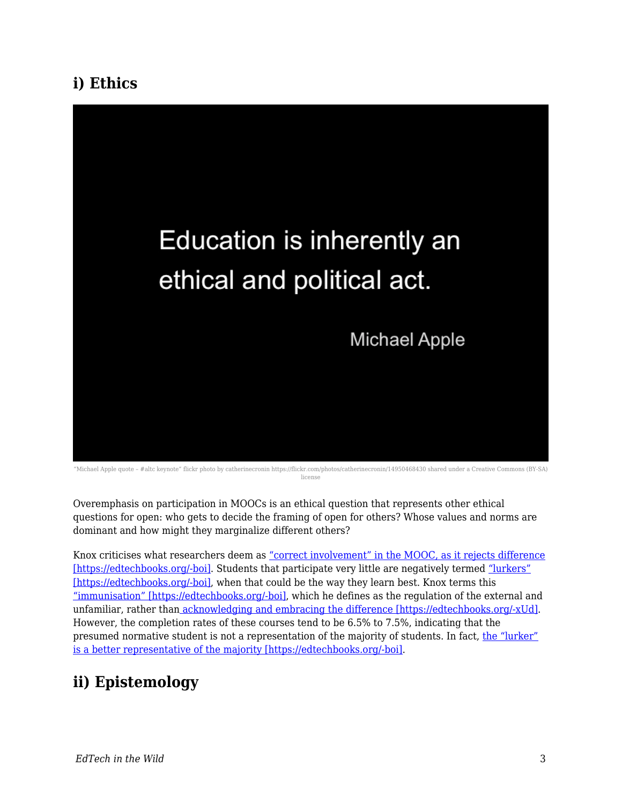## **i) Ethics**



"Michael Apple quote – #altc keynote" flickr photo by catherinecronin https://flickr.com/photos/catherinecronin/14950468430 shared under a Creative Commons (BY-SA) license

Overemphasis on participation in MOOCs is an ethical question that represents other ethical questions for open: who gets to decide the framing of open for others? Whose values and norms are dominant and how might they marginalize different others?

Knox criticises what researchers deem as ["correct involvement" in the MOOC, as it rejects difference](https://www.routledge.com/Posthumanism-and-the-Massive-Open-Online-Course-Contaminating-the-Subject/Knox/p/book/9781138940826) [\[https://edtechbooks.org/-boi\]](https://www.routledge.com/Posthumanism-and-the-Massive-Open-Online-Course-Contaminating-the-Subject/Knox/p/book/9781138940826). Students that participate very little are negatively termed ["lurkers"](https://www.routledge.com/Posthumanism-and-the-Massive-Open-Online-Course-Contaminating-the-Subject/Knox/p/book/9781138940826) [\[https://edtechbooks.org/-boi\]](https://www.routledge.com/Posthumanism-and-the-Massive-Open-Online-Course-Contaminating-the-Subject/Knox/p/book/9781138940826), when that could be the way they learn best. Knox terms this ["immunisation" \[https://edtechbooks.org/-boi\],](https://www.routledge.com/Posthumanism-and-the-Massive-Open-Online-Course-Contaminating-the-Subject/Knox/p/book/9781138940826) which he defines as the regulation of the external and unfamiliar, rather than [acknowledging and embracing the difference \[https://edtechbooks.org/-xUd\].](https://books.google.co.uk/books/about/The_Location_of_Culture.html?id=p7quDTSmYRYC&redir_esc=y) However, the completion rates of these courses tend to be 6.5% to 7.5%, indicating that the presumed normative student is not a representation of the majority of students. In fact, [the "lurker"](https://www.routledge.com/Posthumanism-and-the-Massive-Open-Online-Course-Contaminating-the-Subject/Knox/p/book/9781138940826) [is a better representative of the majority \[https://edtechbooks.org/-boi\]](https://www.routledge.com/Posthumanism-and-the-Massive-Open-Online-Course-Contaminating-the-Subject/Knox/p/book/9781138940826).

# **ii) Epistemology**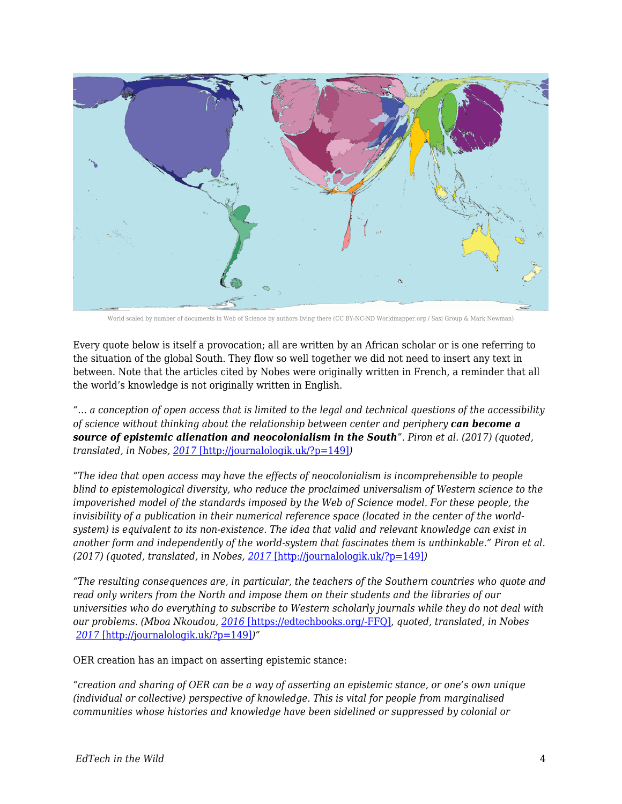

World scaled by number of documents in Web of Science by authors living there (CC BY-NC-ND Worldmapper.org / Sasi Group & Mark Newman)

Every quote below is itself a provocation; all are written by an African scholar or is one referring to the situation of the global South. They flow so well together we did not need to insert any text in between. Note that the articles cited by Nobes were originally written in French, a reminder that all the world's knowledge is not originally written in English.

*"… a conception of open access that is limited to the legal and technical questions of the accessibility of science without thinking about the relationship between center and periphery can become a source of epistemic alienation and neocolonialism in the South". Piron et al. (2017) (quoted, translated, in Nobes, [2017](http://journalologik.uk/?p=149)* [\[http://journalologik.uk/?p=149\]](http://journalologik.uk/?p=149)*)*

*"The idea that open access may have the effects of neocolonialism is incomprehensible to people blind to epistemological diversity, who reduce the proclaimed universalism of Western science to the impoverished model of the standards imposed by the Web of Science model. For these people, the invisibility of a publication in their numerical reference space (located in the center of the worldsystem) is equivalent to its non-existence. The idea that valid and relevant knowledge can exist in another form and independently of the world-system that fascinates them is unthinkable." Piron et al. (2017) (quoted, translated, in Nobes, [2017](http://journalologik.uk/?p=149)* [\[http://journalologik.uk/?p=149\]](http://journalologik.uk/?p=149)*)*

*"The resulting consequences are, in particular, the teachers of the Southern countries who quote and read only writers from the North and impose them on their students and the libraries of our universities who do everything to subscribe to Western scholarly journals while they do not deal with our problems. (Mboa Nkoudou, [2016](https://translate.googleusercontent.com/translate_c?depth=1&hl=en&rurl=translate.google.com&sl=fr&sp=nmt4&tl=en&u=http://www.projetsoha.org/%3Fp%3D1357&usg=ALkJrhgZRAyWSzoYVldmYx1l5jzNYNAxtg)* [\[https://edtechbooks.org/-FFQ\]](https://translate.googleusercontent.com/translate_c?depth=1&hl=en&rurl=translate.google.com&sl=fr&sp=nmt4&tl=en&u=http://www.projetsoha.org/%3Fp%3D1357&usg=ALkJrhgZRAyWSzoYVldmYx1l5jzNYNAxtg)*, quoted, translated, in Nobes [2017](http://journalologik.uk/?p=149)* [\[http://journalologik.uk/?p=149\]](http://journalologik.uk/?p=149)*)"*

OER creation has an impact on asserting epistemic stance:

*"creation and sharing of OER can be a way of asserting an epistemic stance, or one's own unique (individual or collective) perspective of knowledge. This is vital for people from marginalised communities whose histories and knowledge have been sidelined or suppressed by colonial or*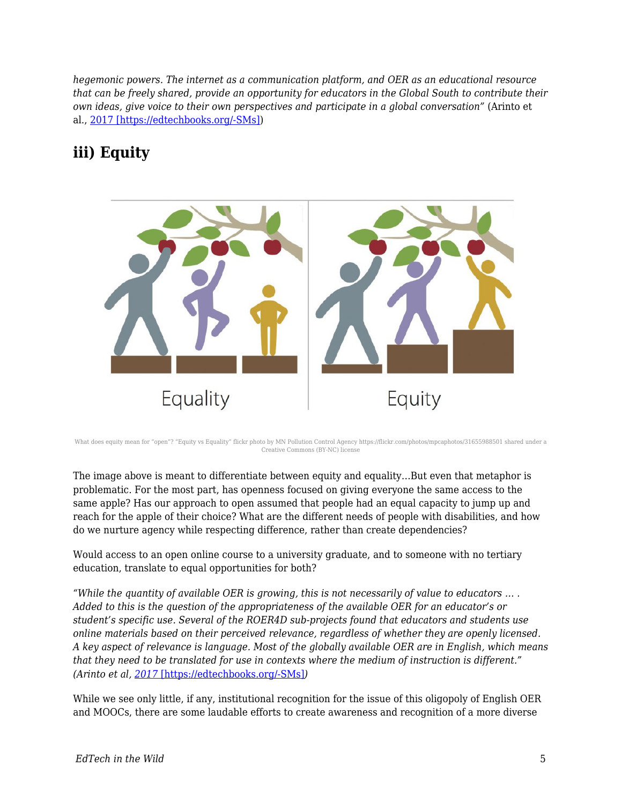*hegemonic powers. The internet as a communication platform, and OER as an educational resource that can be freely shared, provide an opportunity for educators in the Global South to contribute their own ideas, give voice to their own perspectives and participate in a global conversation"* (Arinto et al., [2017 \[https://edtechbooks.org/-SMs\]\)](https://zenodo.org/record/1043830#.WnD4dILLf6B)

# **iii) Equity**



What does equity mean for "open"? "Equity vs Equality" flickr photo by MN Pollution Control Agency https://flickr.com/photos/mpcaphotos/31655988501 shared under a Creative Commons (BY-NC) license

The image above is meant to differentiate between equity and equality…But even that metaphor is problematic. For the most part, has openness focused on giving everyone the same access to the same apple? Has our approach to open assumed that people had an equal capacity to jump up and reach for the apple of their choice? What are the different needs of people with disabilities, and how do we nurture agency while respecting difference, rather than create dependencies?

Would access to an open online course to a university graduate, and to someone with no tertiary education, translate to equal opportunities for both?

*"While the quantity of available OER is growing, this is not necessarily of value to educators … . Added to this is the question of the appropriateness of the available OER for an educator's or student's specific use. Several of the ROER4D sub-projects found that educators and students use online materials based on their perceived relevance, regardless of whether they are openly licensed. A key aspect of relevance is language. Most of the globally available OER are in English, which means that they need to be translated for use in contexts where the medium of instruction is different." (Arinto et al, [2017](https://zenodo.org/record/1043830#.WnD4dILLf6B)* [\[https://edtechbooks.org/-SMs\]](https://zenodo.org/record/1043830#.WnD4dILLf6B)*)*

While we see only little, if any, institutional recognition for the issue of this oligopoly of English OER and MOOCs, there are some laudable efforts to create awareness and recognition of a more diverse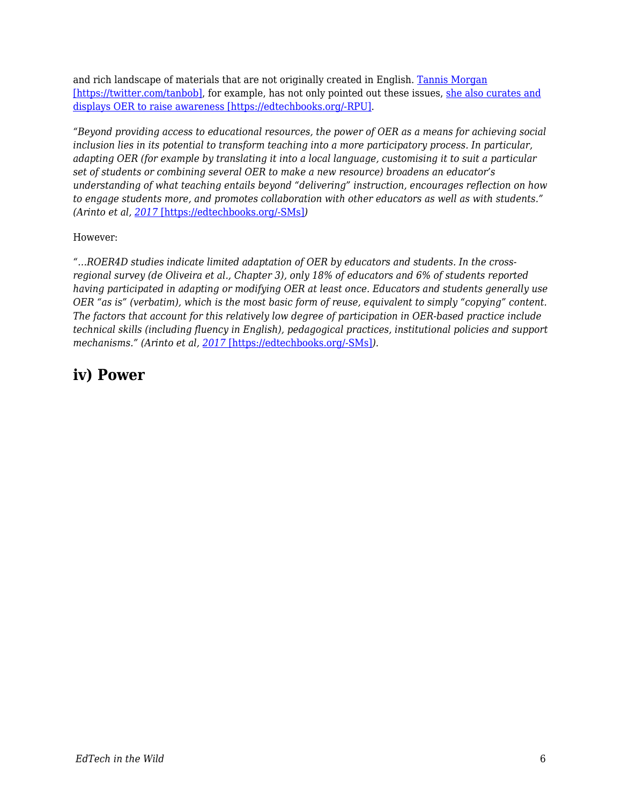and rich landscape of materials that are not originally created in English. [Tannis Morgan](https://twitter.com/tanbob) [\[https://twitter.com/tanbob\]](https://twitter.com/tanbob), for example, has not only pointed out these issues, [she also curates and](https://oloer.opened.ca/background/) [displays OER to raise awareness \[https://edtechbooks.org/-RPU\].](https://oloer.opened.ca/background/)

*"Beyond providing access to educational resources, the power of OER as a means for achieving social inclusion lies in its potential to transform teaching into a more participatory process. In particular, adapting OER (for example by translating it into a local language, customising it to suit a particular set of students or combining several OER to make a new resource) broadens an educator's understanding of what teaching entails beyond "delivering" instruction, encourages reflection on how to engage students more, and promotes collaboration with other educators as well as with students." (Arinto et al, [2017](https://zenodo.org/record/1043830#.WnD4dILLf6B)* [\[https://edtechbooks.org/-SMs\]](https://zenodo.org/record/1043830#.WnD4dILLf6B)*)*

However:

*"…ROER4D studies indicate limited adaptation of OER by educators and students. In the crossregional survey (de Oliveira et al., Chapter 3), only 18% of educators and 6% of students reported having participated in adapting or modifying OER at least once. Educators and students generally use OER "as is" (verbatim), which is the most basic form of reuse, equivalent to simply "copying" content. The factors that account for this relatively low degree of participation in OER-based practice include technical skills (including fluency in English), pedagogical practices, institutional policies and support mechanisms." (Arinto et al, [2017](https://zenodo.org/record/1043830#.WnD4dILLf6B)* [\[https://edtechbooks.org/-SMs\]](https://zenodo.org/record/1043830#.WnD4dILLf6B)*).*

### **iv) Power**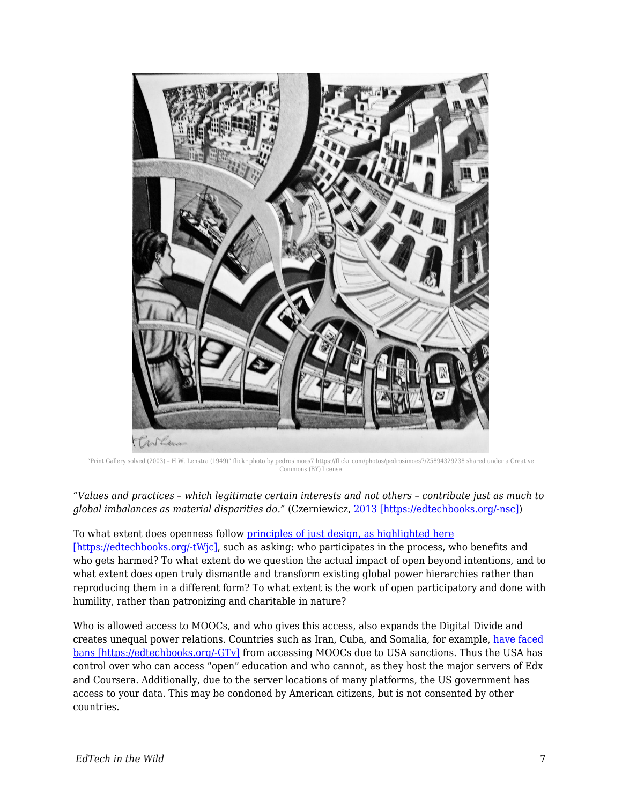

"Print Gallery solved (2003) – H.W. Lenstra (1949)" flickr photo by pedrosimoes7 https://flickr.com/photos/pedrosimoes7/25894329238 shared under a Creative Commons (BY) license

*"Values and practices – which legitimate certain interests and not others – contribute just as much to global imbalances as material disparities do."* (Czerniewicz, [2013 \[https://edtechbooks.org/-nsc\]](http://blogs.lse.ac.uk/impactofsocialsciences/2013/04/29/redrawing-the-map-from-access-to-participation/))

#### To what extent does openness follow [principles of just design, as highlighted here](https://static1.squarespace.com/static/56a3ad187086d771d66d920d/t/574f1c96cf80a12ba2bb5818/1464805120051/DESIGN+JUSTICE+ZINE_ISSUE1.pdf)

[\[https://edtechbooks.org/-tWjc\]](https://static1.squarespace.com/static/56a3ad187086d771d66d920d/t/574f1c96cf80a12ba2bb5818/1464805120051/DESIGN+JUSTICE+ZINE_ISSUE1.pdf), such as asking: who participates in the process, who benefits and who gets harmed? To what extent do we question the actual impact of open beyond intentions, and to what extent does open truly dismantle and transform existing global power hierarchies rather than reproducing them in a different form? To what extent is the work of open participatory and done with humility, rather than patronizing and charitable in nature?

Who is allowed access to MOOCs, and who gives this access, also expands the Digital Divide and creates unequal power relations. Countries such as Iran, Cuba, and Somalia, for example, [have faced](https://theconversation.com/online-learning-pioneer-slams-ban-on-iranian-cuban-sudanese-students-24581) [bans \[https://edtechbooks.org/-GTv\]](https://theconversation.com/online-learning-pioneer-slams-ban-on-iranian-cuban-sudanese-students-24581) from accessing MOOCs due to USA sanctions. Thus the USA has control over who can access "open" education and who cannot, as they host the major servers of Edx and Coursera. Additionally, due to the server locations of many platforms, the US government has access to your data. This may be condoned by American citizens, but is not consented by other countries.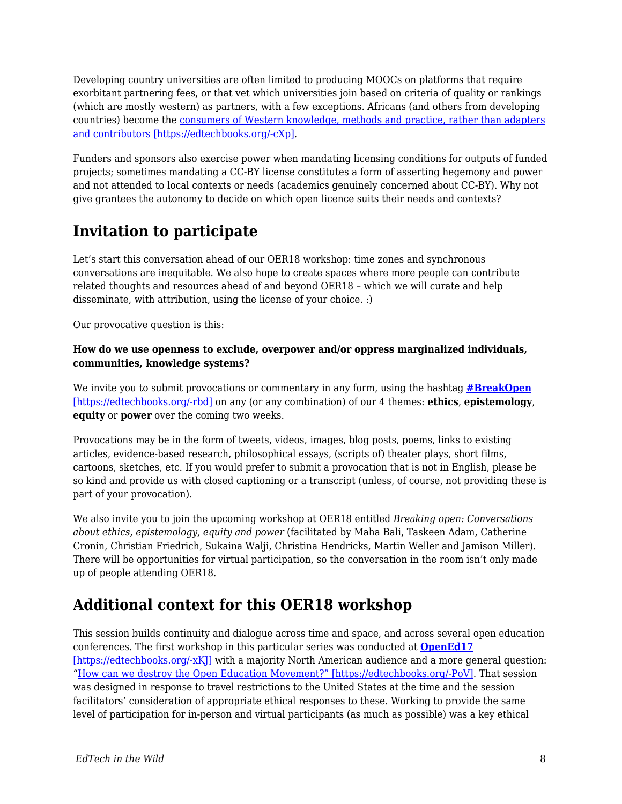Developing country universities are often limited to producing MOOCs on platforms that require exorbitant partnering fees, or that vet which universities join based on criteria of quality or rankings (which are mostly western) as partners, with a few exceptions. Africans (and others from developing countries) become the [consumers of Western knowledge, methods and practice, rather than adapters](https://open.uct.ac.za/bitstream/handle/11427/19562/2._Developing_world_MOOCs.pdf?sequence=1) [and contributors \[https://edtechbooks.org/-cXp\].](https://open.uct.ac.za/bitstream/handle/11427/19562/2._Developing_world_MOOCs.pdf?sequence=1)

Funders and sponsors also exercise power when mandating licensing conditions for outputs of funded projects; sometimes mandating a CC-BY license constitutes a form of asserting hegemony and power and not attended to local contexts or needs (academics genuinely concerned about CC-BY). Why not give grantees the autonomy to decide on which open licence suits their needs and contexts?

# **Invitation to participate**

Let's start this conversation ahead of our OER18 workshop: time zones and synchronous conversations are inequitable. We also hope to create spaces where more people can contribute related thoughts and resources ahead of and beyond OER18 – which we will curate and help disseminate, with attribution, using the license of your choice. :)

Our provocative question is this:

#### **How do we use openness to exclude, overpower and/or oppress marginalized individuals, communities, knowledge systems?**

We invite you to submit provocations or commentary in any form, using the hashtag **[#BreakOpen](https://twitter.com/search?f=tweets&q=%23breakopen&src=typd)** [\[https://edtechbooks.org/-rbd\]](https://twitter.com/search?f=tweets&q=%23breakopen&src=typd) on any (or any combination) of our 4 themes: **ethics**, **epistemology**, **equity** or **power** over the coming two weeks.

Provocations may be in the form of tweets, videos, images, blog posts, poems, links to existing articles, evidence-based research, philosophical essays, (scripts of) theater plays, short films, cartoons, sketches, etc. If you would prefer to submit a provocation that is not in English, please be so kind and provide us with closed captioning or a transcript (unless, of course, not providing these is part of your provocation).

We also invite you to join the upcoming workshop at OER18 entitled *Breaking open: Conversations about ethics, epistemology, equity and power* (facilitated by Maha Bali, Taskeen Adam, Catherine Cronin, Christian Friedrich, Sukaina Walji, Christina Hendricks, Martin Weller and Jamison Miller)*.* There will be opportunities for virtual participation, so the conversation in the room isn't only made up of people attending OER18.

### **Additional context for this OER18 workshop**

This session builds continuity and dialogue across time and space, and across several open education conferences. The first workshop in this particular series was conducted at **[OpenEd17](https://openeducation2017.sched.com/event/BXfg/how-can-we-destroy-the-open-education-movement-conversations-about-ethics)** [https://edtechbooks.org/-xK]] with a majority North American audience and a more general question: "[How can we destroy the Open Education Movement?" \[https://edtechbooks.org/-PoV\]](https://blogs.ubc.ca/openeducationethics/). That session was designed in response to travel restrictions to the United States at the time and the session facilitators' consideration of appropriate ethical responses to these. Working to provide the same level of participation for in-person and virtual participants (as much as possible) was a key ethical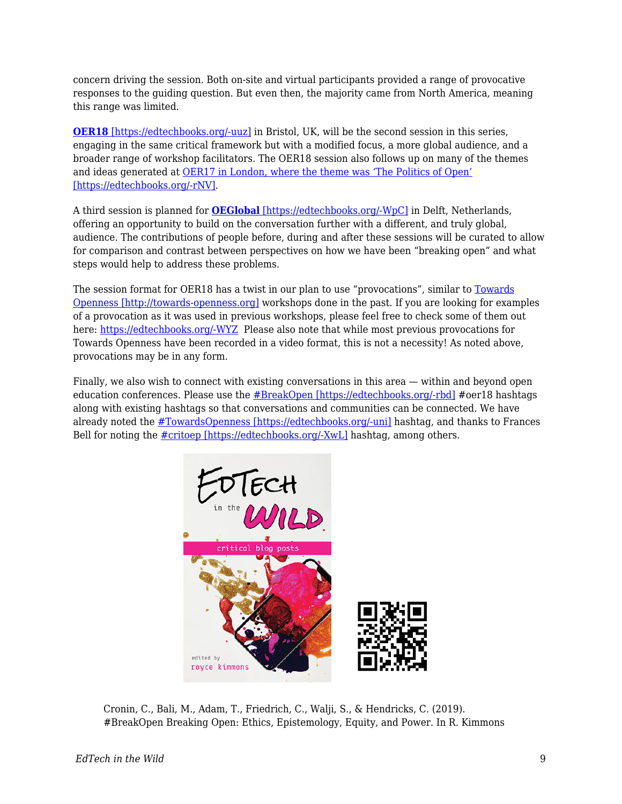concern driving the session. Both on-site and virtual participants provided a range of provocative responses to the guiding question. But even then, the majority came from North America, meaning this range was limited.

**[OER18](https://oer18.oerconf.org/#gref)** [\[https://edtechbooks.org/-uuz\]](https://oer18.oerconf.org/#gref) in Bristol, UK, will be the second session in this series, engaging in the same critical framework but with a modified focus, a more global audience, and a broader range of workshop facilitators. The OER18 session also follows up on many of the themes and ideas generated at [OER17 in London, where the theme was 'The Politics of Open'](https://oer17.oerconf.org/news/oer17-blog-posts-roundup/#gref) [\[https://edtechbooks.org/-rNV\]](https://oer17.oerconf.org/news/oer17-blog-posts-roundup/#gref).

A third session is planned for **[OEGlobal](https://conference.oeconsortium.org/2018/)** [\[https://edtechbooks.org/-WpC\]](https://conference.oeconsortium.org/2018/) in Delft, Netherlands, offering an opportunity to build on the conversation further with a different, and truly global, audience. The contributions of people before, during and after these sessions will be curated to allow for comparison and contrast between perspectives on how we have been "breaking open" and what steps would help to address these problems.

The session format for OER18 has a twist in our plan to use "provocations", similar to [Towards](http://towards-openness.org) [Openness \[http://towards-openness.org\]](http://towards-openness.org) workshops done in the past. If you are looking for examples of a provocation as it was used in previous workshops, please feel free to check some of them out here: [https://edtechbooks.org/-WYZ](http://towards-openness.org/resources/) Please also note that while most previous provocations for Towards Openness have been recorded in a video format, this is not a necessity! As noted above, provocations may be in any form.

Finally, we also wish to connect with existing conversations in this area — within and beyond open education conferences. Please use the [#BreakOpen \[https://edtechbooks.org/-rbd\]](https://twitter.com/search?f=tweets&q=%23breakopen&src=typd) #oer18 hashtags along with existing hashtags so that conversations and communities can be connected. We have already noted the [#TowardsOpenness \[https://edtechbooks.org/-uni\]](https://twitter.com/search?f=tweets&q=%23towardsopenness&src=typd) hashtag, and thanks to Frances Bell for noting the  $\#$ critoep [https://edtechbooks.org/-XwL] hashtag, among others.



Cronin, C., Bali, M., Adam, T., Friedrich, C., Walji, S., & Hendricks, C. (2019). #BreakOpen Breaking Open: Ethics, Epistemology, Equity, and Power. In R. Kimmons